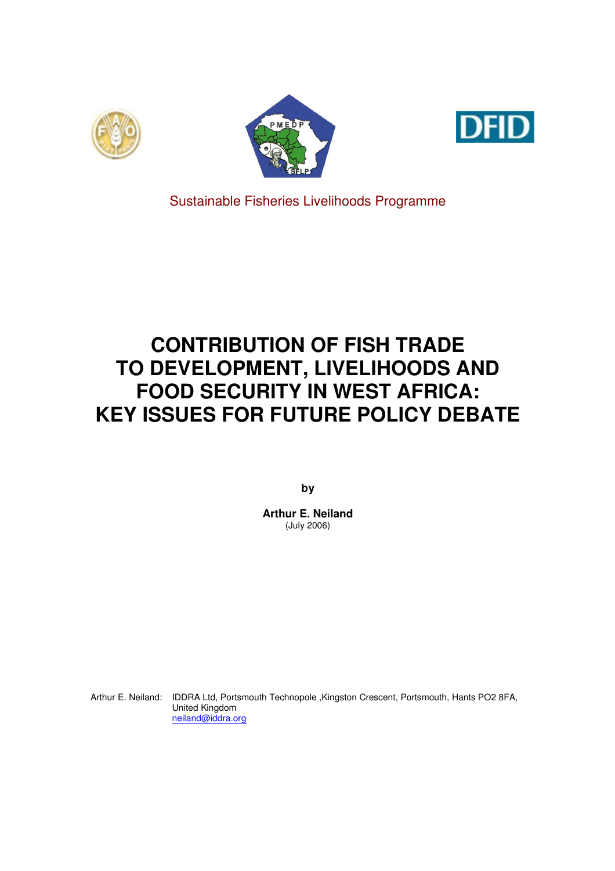





Sustainable Fisheries Livelihoods Programme

# **CONTRIBUTION OF FISH TRADE TO DEVELOPMENT, LIVELIHOODS AND FOOD SECURITY IN WEST AFRICA: KEY ISSUES FOR FUTURE POLICY DEBATE**

**by** 

**Arthur E. Neiland**  (July 2006)

Arthur E. Neiland: IDDRA Ltd, Portsmouth Technopole ,Kingston Crescent, Portsmouth, Hants PO2 8FA, United Kingdom neiland@iddra.org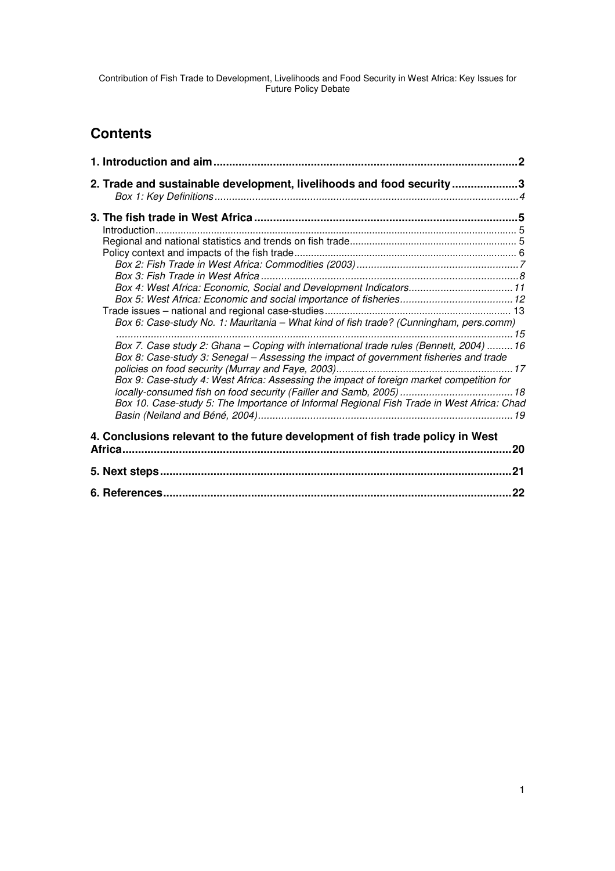# **Contents**

| 2. Trade and sustainable development, livelihoods and food security3                                                                                                                                                                                                                                                                                                     |  |
|--------------------------------------------------------------------------------------------------------------------------------------------------------------------------------------------------------------------------------------------------------------------------------------------------------------------------------------------------------------------------|--|
| Box 6: Case-study No. 1: Mauritania - What kind of fish trade? (Cunningham, pers.comm)                                                                                                                                                                                                                                                                                   |  |
| Box 7. Case study 2: Ghana - Coping with international trade rules (Bennett, 2004)  16<br>Box 8: Case-study 3: Senegal - Assessing the impact of government fisheries and trade<br>Box 9: Case-study 4: West Africa: Assessing the impact of foreign market competition for<br>Box 10. Case-study 5: The Importance of Informal Regional Fish Trade in West Africa: Chad |  |
| 4. Conclusions relevant to the future development of fish trade policy in West                                                                                                                                                                                                                                                                                           |  |
|                                                                                                                                                                                                                                                                                                                                                                          |  |
|                                                                                                                                                                                                                                                                                                                                                                          |  |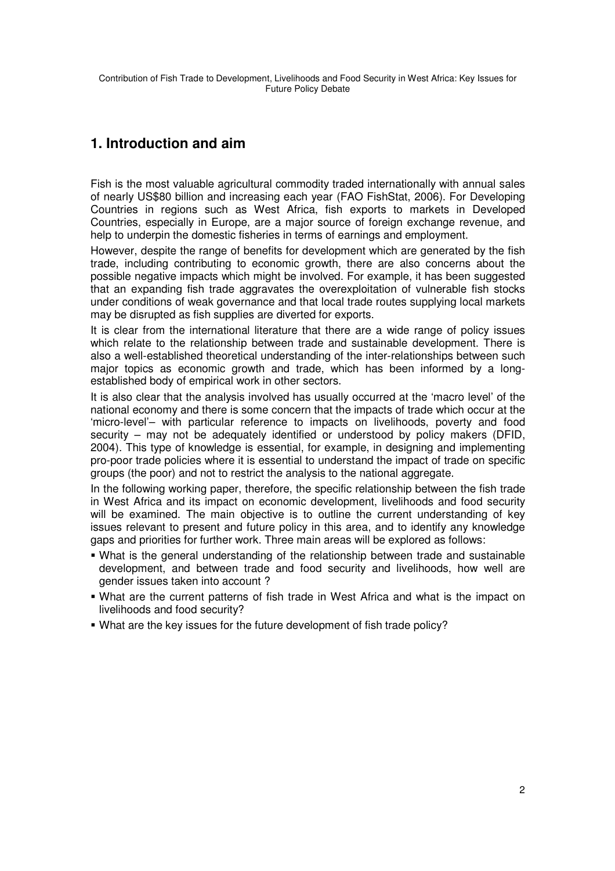# **1. Introduction and aim**

Fish is the most valuable agricultural commodity traded internationally with annual sales of nearly US\$80 billion and increasing each year (FAO FishStat, 2006). For Developing Countries in regions such as West Africa, fish exports to markets in Developed Countries, especially in Europe, are a major source of foreign exchange revenue, and help to underpin the domestic fisheries in terms of earnings and employment.

However, despite the range of benefits for development which are generated by the fish trade, including contributing to economic growth, there are also concerns about the possible negative impacts which might be involved. For example, it has been suggested that an expanding fish trade aggravates the overexploitation of vulnerable fish stocks under conditions of weak governance and that local trade routes supplying local markets may be disrupted as fish supplies are diverted for exports.

It is clear from the international literature that there are a wide range of policy issues which relate to the relationship between trade and sustainable development. There is also a well-established theoretical understanding of the inter-relationships between such major topics as economic growth and trade, which has been informed by a longestablished body of empirical work in other sectors.

It is also clear that the analysis involved has usually occurred at the 'macro level' of the national economy and there is some concern that the impacts of trade which occur at the 'micro-level'– with particular reference to impacts on livelihoods, poverty and food security – may not be adequately identified or understood by policy makers (DFID, 2004). This type of knowledge is essential, for example, in designing and implementing pro-poor trade policies where it is essential to understand the impact of trade on specific groups (the poor) and not to restrict the analysis to the national aggregate.

In the following working paper, therefore, the specific relationship between the fish trade in West Africa and its impact on economic development, livelihoods and food security will be examined. The main objective is to outline the current understanding of key issues relevant to present and future policy in this area, and to identify any knowledge gaps and priorities for further work. Three main areas will be explored as follows:

- What is the general understanding of the relationship between trade and sustainable development, and between trade and food security and livelihoods, how well are gender issues taken into account ?
- What are the current patterns of fish trade in West Africa and what is the impact on livelihoods and food security?
- What are the key issues for the future development of fish trade policy?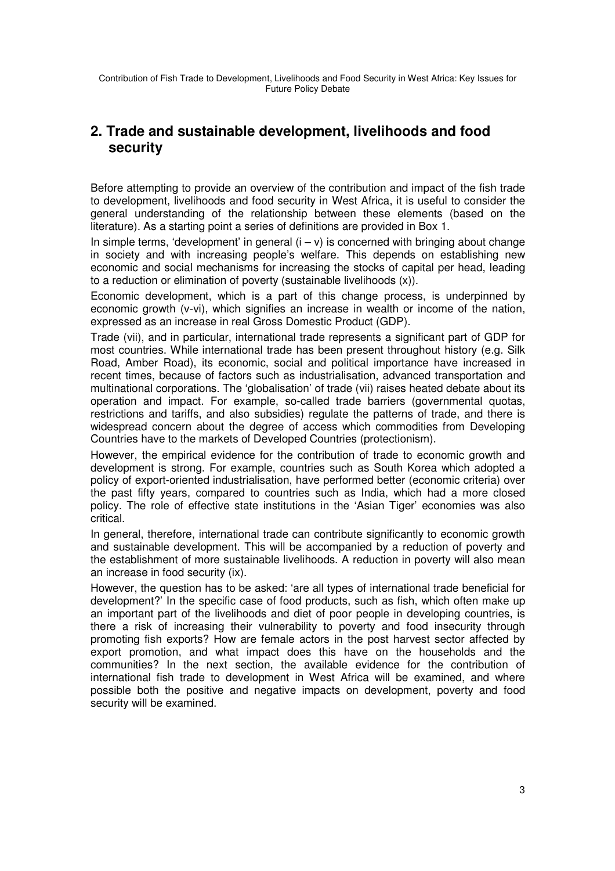# **2. Trade and sustainable development, livelihoods and food security**

Before attempting to provide an overview of the contribution and impact of the fish trade to development, livelihoods and food security in West Africa, it is useful to consider the general understanding of the relationship between these elements (based on the literature). As a starting point a series of definitions are provided in Box 1.

In simple terms, 'development' in general  $(i - v)$  is concerned with bringing about change in society and with increasing people's welfare. This depends on establishing new economic and social mechanisms for increasing the stocks of capital per head, leading to a reduction or elimination of poverty (sustainable livelihoods (x)).

Economic development, which is a part of this change process, is underpinned by economic growth (v-vi), which signifies an increase in wealth or income of the nation, expressed as an increase in real Gross Domestic Product (GDP).

Trade (vii), and in particular, international trade represents a significant part of GDP for most countries. While international trade has been present throughout history (e.g. Silk Road, Amber Road), its economic, social and political importance have increased in recent times, because of factors such as industrialisation, advanced transportation and multinational corporations. The 'globalisation' of trade (vii) raises heated debate about its operation and impact. For example, so-called trade barriers (governmental quotas, restrictions and tariffs, and also subsidies) regulate the patterns of trade, and there is widespread concern about the degree of access which commodities from Developing Countries have to the markets of Developed Countries (protectionism).

However, the empirical evidence for the contribution of trade to economic growth and development is strong. For example, countries such as South Korea which adopted a policy of export-oriented industrialisation, have performed better (economic criteria) over the past fifty years, compared to countries such as India, which had a more closed policy. The role of effective state institutions in the 'Asian Tiger' economies was also critical.

In general, therefore, international trade can contribute significantly to economic growth and sustainable development. This will be accompanied by a reduction of poverty and the establishment of more sustainable livelihoods. A reduction in poverty will also mean an increase in food security (ix).

However, the question has to be asked: 'are all types of international trade beneficial for development?' In the specific case of food products, such as fish, which often make up an important part of the livelihoods and diet of poor people in developing countries, is there a risk of increasing their vulnerability to poverty and food insecurity through promoting fish exports? How are female actors in the post harvest sector affected by export promotion, and what impact does this have on the households and the communities? In the next section, the available evidence for the contribution of international fish trade to development in West Africa will be examined, and where possible both the positive and negative impacts on development, poverty and food security will be examined.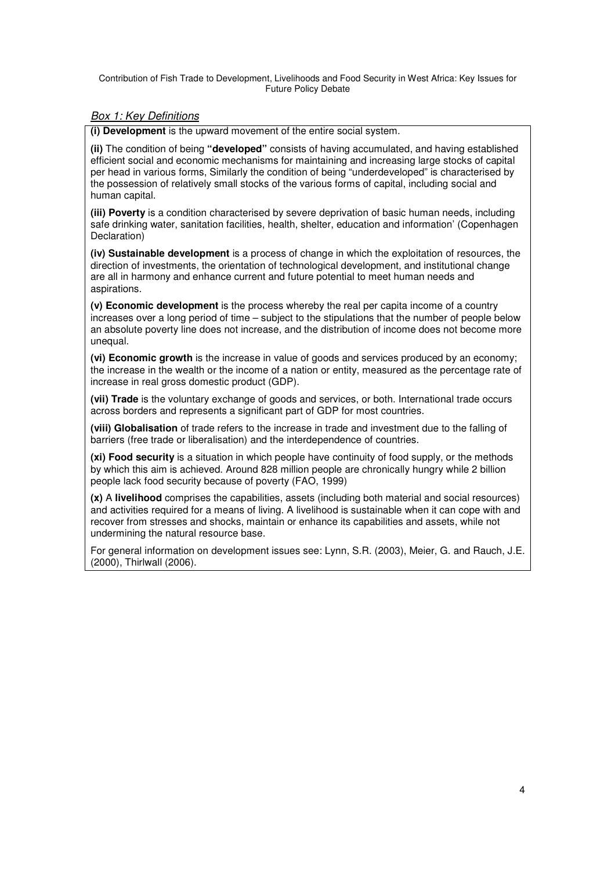### Box 1: Key Definitions

**(i) Development** is the upward movement of the entire social system.

**(ii)** The condition of being **"developed"** consists of having accumulated, and having established efficient social and economic mechanisms for maintaining and increasing large stocks of capital per head in various forms, Similarly the condition of being "underdeveloped" is characterised by the possession of relatively small stocks of the various forms of capital, including social and human capital.

**(iii) Poverty** is a condition characterised by severe deprivation of basic human needs, including safe drinking water, sanitation facilities, health, shelter, education and information' (Copenhagen Declaration)

**(iv) Sustainable development** is a process of change in which the exploitation of resources, the direction of investments, the orientation of technological development, and institutional change are all in harmony and enhance current and future potential to meet human needs and aspirations.

**(v) Economic development** is the process whereby the real per capita income of a country increases over a long period of time – subject to the stipulations that the number of people below an absolute poverty line does not increase, and the distribution of income does not become more unequal.

**(vi) Economic growth** is the increase in value of goods and services produced by an economy; the increase in the wealth or the income of a nation or entity, measured as the percentage rate of increase in real gross domestic product (GDP).

**(vii) Trade** is the voluntary exchange of goods and services, or both. International trade occurs across borders and represents a significant part of GDP for most countries.

**(viii) Globalisation** of trade refers to the increase in trade and investment due to the falling of barriers (free trade or liberalisation) and the interdependence of countries.

**(xi) Food security** is a situation in which people have continuity of food supply, or the methods by which this aim is achieved. Around 828 million people are chronically hungry while 2 billion people lack food security because of poverty (FAO, 1999)

**(x)** A **livelihood** comprises the capabilities, assets (including both material and social resources) and activities required for a means of living. A livelihood is sustainable when it can cope with and recover from stresses and shocks, maintain or enhance its capabilities and assets, while not undermining the natural resource base.

For general information on development issues see: Lynn, S.R. (2003), Meier, G. and Rauch, J.E. (2000), Thirlwall (2006).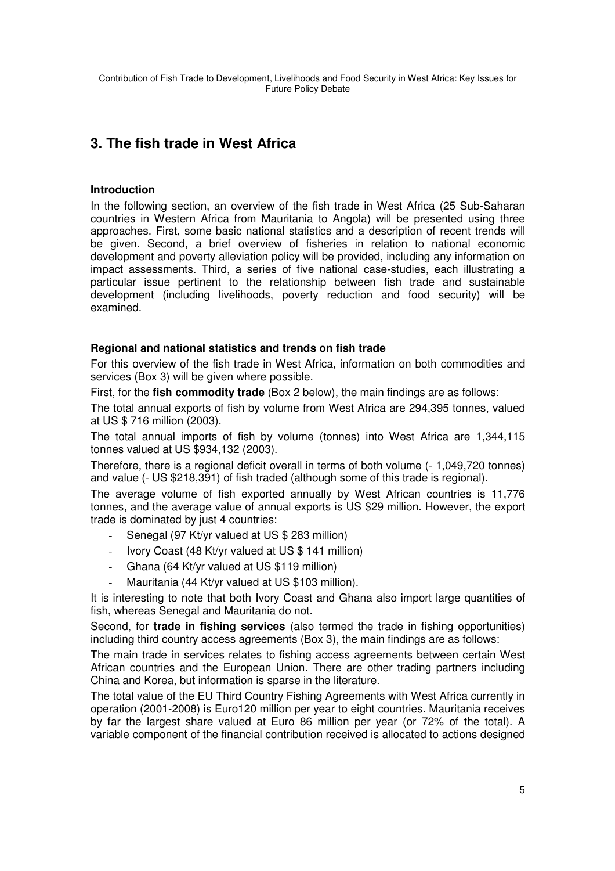# **3. The fish trade in West Africa**

# **Introduction**

In the following section, an overview of the fish trade in West Africa (25 Sub-Saharan countries in Western Africa from Mauritania to Angola) will be presented using three approaches. First, some basic national statistics and a description of recent trends will be given. Second, a brief overview of fisheries in relation to national economic development and poverty alleviation policy will be provided, including any information on impact assessments. Third, a series of five national case-studies, each illustrating a particular issue pertinent to the relationship between fish trade and sustainable development (including livelihoods, poverty reduction and food security) will be examined.

# **Regional and national statistics and trends on fish trade**

For this overview of the fish trade in West Africa, information on both commodities and services (Box 3) will be given where possible.

First, for the **fish commodity trade** (Box 2 below), the main findings are as follows:

The total annual exports of fish by volume from West Africa are 294,395 tonnes, valued at US \$ 716 million (2003).

The total annual imports of fish by volume (tonnes) into West Africa are 1,344,115 tonnes valued at US \$934,132 (2003).

Therefore, there is a regional deficit overall in terms of both volume (- 1,049,720 tonnes) and value (- US \$218,391) of fish traded (although some of this trade is regional).

The average volume of fish exported annually by West African countries is 11,776 tonnes, and the average value of annual exports is US \$29 million. However, the export trade is dominated by just 4 countries:

- Senegal (97 Kt/yr valued at US \$ 283 million)
- Ivory Coast (48 Kt/yr valued at US \$ 141 million)
- Ghana (64 Kt/yr valued at US \$119 million)
- Mauritania (44 Kt/yr valued at US \$103 million).

It is interesting to note that both Ivory Coast and Ghana also import large quantities of fish, whereas Senegal and Mauritania do not.

Second, for **trade in fishing services** (also termed the trade in fishing opportunities) including third country access agreements (Box 3), the main findings are as follows:

The main trade in services relates to fishing access agreements between certain West African countries and the European Union. There are other trading partners including China and Korea, but information is sparse in the literature.

The total value of the EU Third Country Fishing Agreements with West Africa currently in operation (2001-2008) is Euro120 million per year to eight countries. Mauritania receives by far the largest share valued at Euro 86 million per year (or 72% of the total). A variable component of the financial contribution received is allocated to actions designed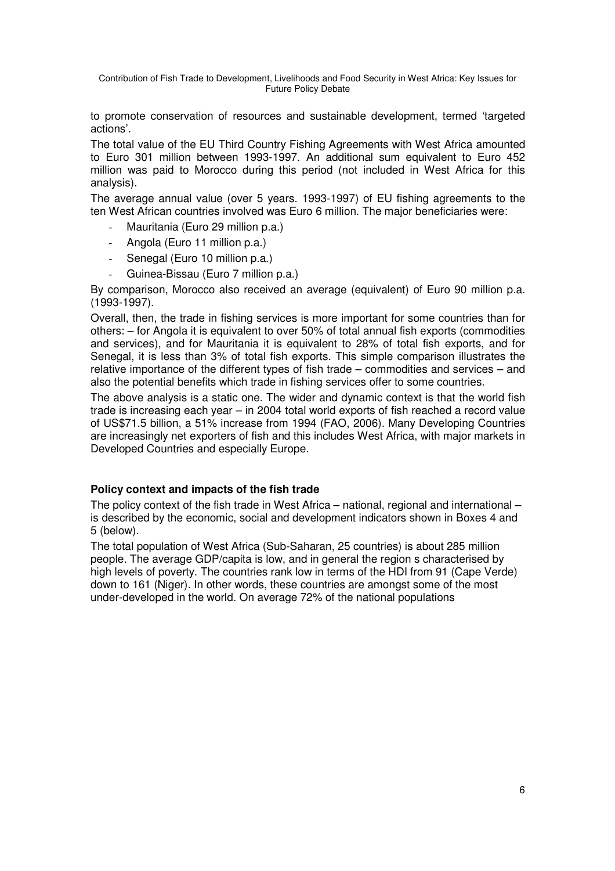to promote conservation of resources and sustainable development, termed 'targeted actions'.

The total value of the EU Third Country Fishing Agreements with West Africa amounted to Euro 301 million between 1993-1997. An additional sum equivalent to Euro 452 million was paid to Morocco during this period (not included in West Africa for this analysis).

The average annual value (over 5 years. 1993-1997) of EU fishing agreements to the ten West African countries involved was Euro 6 million. The major beneficiaries were:

- Mauritania (Euro 29 million p.a.)
- Angola (Euro 11 million p.a.)
- Senegal (Euro 10 million p.a.)
- Guinea-Bissau (Euro 7 million p.a.)

By comparison, Morocco also received an average (equivalent) of Euro 90 million p.a. (1993-1997).

Overall, then, the trade in fishing services is more important for some countries than for others: – for Angola it is equivalent to over 50% of total annual fish exports (commodities and services), and for Mauritania it is equivalent to 28% of total fish exports, and for Senegal, it is less than 3% of total fish exports. This simple comparison illustrates the relative importance of the different types of fish trade – commodities and services – and also the potential benefits which trade in fishing services offer to some countries.

The above analysis is a static one. The wider and dynamic context is that the world fish trade is increasing each year – in 2004 total world exports of fish reached a record value of US\$71.5 billion, a 51% increase from 1994 (FAO, 2006). Many Developing Countries are increasingly net exporters of fish and this includes West Africa, with major markets in Developed Countries and especially Europe.

### **Policy context and impacts of the fish trade**

The policy context of the fish trade in West Africa – national, regional and international – is described by the economic, social and development indicators shown in Boxes 4 and 5 (below).

The total population of West Africa (Sub-Saharan, 25 countries) is about 285 million people. The average GDP/capita is low, and in general the region s characterised by high levels of poverty. The countries rank low in terms of the HDI from 91 (Cape Verde) down to 161 (Niger). In other words, these countries are amongst some of the most under-developed in the world. On average 72% of the national populations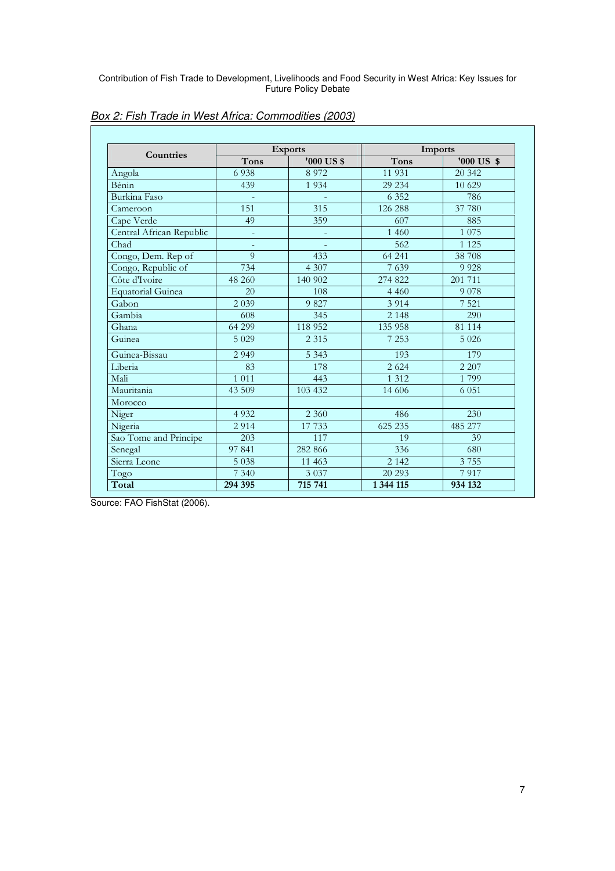| Countries                |                          | <b>Exports</b> | Imports     |                       |  |
|--------------------------|--------------------------|----------------|-------------|-----------------------|--|
|                          | Tons                     | '000 US\$      | <b>Tons</b> | $'000$ US $\text{\$}$ |  |
| Angola                   | 6938                     | 8 9 7 2        | 11 931      | 20 342                |  |
| Bénin                    | 439                      | 1 9 3 4        | 29 234      | 10 629                |  |
| Burkina Faso             |                          |                | 6 3 5 2     | 786                   |  |
| Cameroon                 | 151                      | 315            | 126 288     | 37 780                |  |
| Cape Verde               | 49                       | 359            | 607         | 885                   |  |
| Central African Republic | ÷,                       | $\bar{a}$      | 1 4 6 0     | 1 0 7 5               |  |
| Chad                     | $\overline{\phantom{a}}$ |                | 562         | 1 1 2 5               |  |
| Congo, Dem. Rep of       | $\overline{Q}$           | 433            | 64 241      | 38 708                |  |
| Congo, Republic of       | 734                      | 4 3 0 7        | 7639        | 9 9 28                |  |
| Côte d'Ivoire            | 48 260                   | 140 902        | 274 822     | 201 711               |  |
| Equatorial Guinea        | 20                       | 108            | 4 4 6 0     | 9 0 7 8               |  |
| Gabon                    | 2 0 3 9                  | 9 8 2 7        | 3 9 1 4     | 7 5 21                |  |
| Gambia                   | 608                      | 345            | 2 1 4 8     | 290                   |  |
| Ghana                    | 64 299                   | 118 952        | 135 958     | 81 114                |  |
| Guinea                   | 5 0 2 9                  | 2 3 1 5        | 7 2 5 3     | 5 0 2 6               |  |
| Guinea-Bissau            | 2 9 4 9                  | 5 3 4 3        | 193         | 179                   |  |
| Liberia                  | 83                       | 178            | 2 6 2 4     | 2 2 0 7               |  |
| Mali                     | 1 0 1 1                  | 443            | 1 3 1 2     | 1799                  |  |
| Mauritania               | 43 509                   | 103 432        | 14 60 6     | 6 0 5 1               |  |
| Morocco                  |                          |                |             |                       |  |
| Niger                    | 4 9 3 2                  | 2 3 6 0        | 486         | 230                   |  |
| Nigeria                  | 2 9 1 4                  | 17 733         | 625 235     | 485 277               |  |
| Sao Tome and Principe    | 203                      | 117            | 19          | 39                    |  |
| Senegal                  | 97 841                   | 282 866        | 336         | 680                   |  |
| Sierra Leone             | 5 0 38                   | 11 463         | 2 1 4 2     | 3755                  |  |
| Togo                     | 7 3 4 0                  | 3 0 3 7        | 20 29 3     | 7917                  |  |
| Total                    | 294 395                  | 715 741        | 1 344 115   | 934 132               |  |

Box 2: Fish Trade in West Africa: Commodities (2003)

Source: FAO FishStat (2006).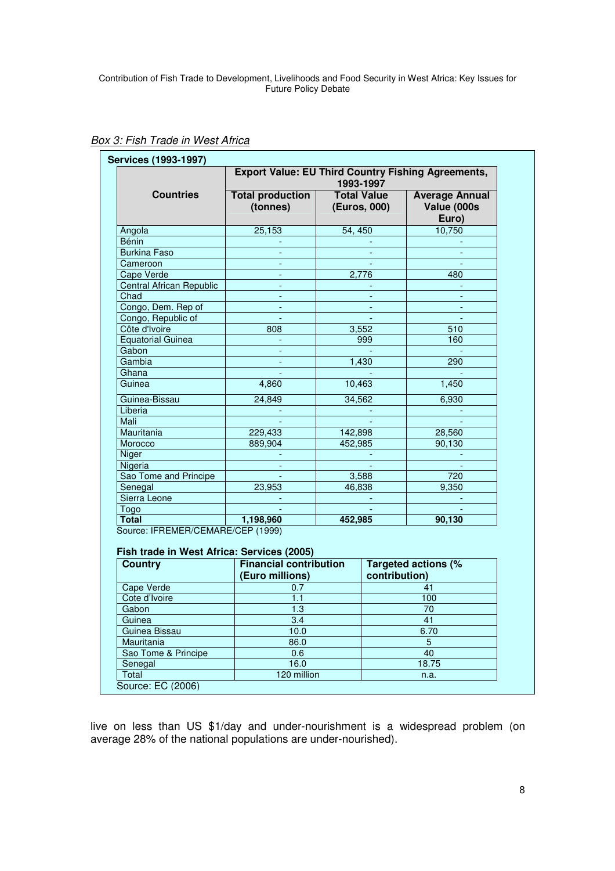|                                 | <b>Export Value: EU Third Country Fishing Agreements,</b><br>1993-1997 |                                    |                                               |  |  |  |
|---------------------------------|------------------------------------------------------------------------|------------------------------------|-----------------------------------------------|--|--|--|
| <b>Countries</b>                | <b>Total production</b><br>(tonnes)                                    | <b>Total Value</b><br>(Euros, 000) | <b>Average Annual</b><br>Value (000s<br>Euro) |  |  |  |
| Angola                          | 25,153                                                                 | 54, 450                            | 10,750                                        |  |  |  |
| <b>Bénin</b>                    |                                                                        |                                    |                                               |  |  |  |
| <b>Burkina Faso</b>             |                                                                        |                                    |                                               |  |  |  |
| Cameroon                        |                                                                        |                                    |                                               |  |  |  |
| Cape Verde                      |                                                                        | 2,776                              | 480                                           |  |  |  |
| <b>Central African Republic</b> | $\blacksquare$                                                         |                                    |                                               |  |  |  |
| Chad                            | $\blacksquare$                                                         |                                    |                                               |  |  |  |
| Congo, Dem. Rep of              |                                                                        |                                    |                                               |  |  |  |
| Congo, Republic of              |                                                                        |                                    |                                               |  |  |  |
| Côte d'Ivoire                   | 808                                                                    | 3,552                              | 510                                           |  |  |  |
| <b>Equatorial Guinea</b>        |                                                                        | 999                                | 160                                           |  |  |  |
| Gabon                           |                                                                        |                                    |                                               |  |  |  |
| Gambia                          |                                                                        | 1,430                              | 290                                           |  |  |  |
| Ghana                           |                                                                        |                                    |                                               |  |  |  |
| Guinea                          | 4,860                                                                  | 10,463                             | 1,450                                         |  |  |  |
| Guinea-Bissau                   | 24,849                                                                 | 34,562                             | 6,930                                         |  |  |  |
| Liberia                         |                                                                        |                                    |                                               |  |  |  |
| Mali                            |                                                                        |                                    |                                               |  |  |  |
| Mauritania                      | 229,433                                                                | 142,898                            | 28,560                                        |  |  |  |
| Morocco                         | 889,904                                                                | 452,985                            | 90,130                                        |  |  |  |
| Niger                           |                                                                        |                                    |                                               |  |  |  |
| Nigeria                         |                                                                        |                                    |                                               |  |  |  |
| Sao Tome and Principe           |                                                                        | 3,588                              | 720                                           |  |  |  |
| Senegal                         | 23,953                                                                 | 46,838                             | 9,350                                         |  |  |  |
| Sierra Leone                    |                                                                        |                                    |                                               |  |  |  |
| Togo                            |                                                                        |                                    |                                               |  |  |  |
| <b>Total</b>                    | 1,198,960                                                              | 452,985                            | 90,130                                        |  |  |  |

**Box 3: Fish Trade in West Africa** 

**Fish trade in West Africa: Services (2005)**

| <b>Country</b>      | <b>Financial contribution</b><br>(Euro millions) | Targeted actions (%<br>contribution) |  |
|---------------------|--------------------------------------------------|--------------------------------------|--|
| Cape Verde          | 0.7                                              | 41                                   |  |
| Cote d'Ivoire       | 1.1                                              | 100                                  |  |
| Gabon               | 1.3                                              | 70                                   |  |
| Guinea              | 3.4                                              | 41                                   |  |
| Guinea Bissau       | 10.0                                             | 6.70                                 |  |
| Mauritania          | 86.0                                             | 5                                    |  |
| Sao Tome & Principe | 0.6                                              | 40                                   |  |
| Senegal             | 16.0                                             | 18.75                                |  |
| Total               | 120 million                                      | n.a.                                 |  |

live on less than US \$1/day and under-nourishment is a widespread problem (on average 28% of the national populations are under-nourished).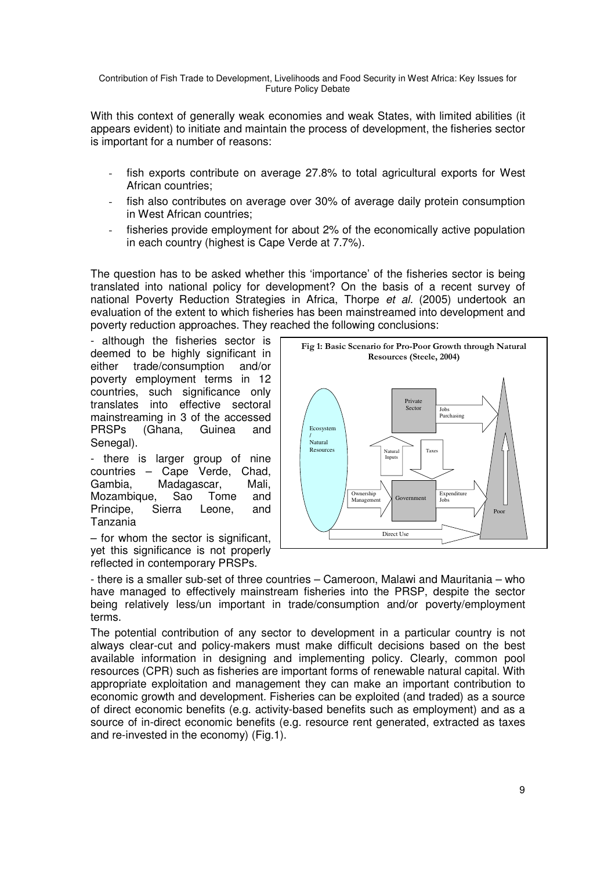With this context of generally weak economies and weak States, with limited abilities (it appears evident) to initiate and maintain the process of development, the fisheries sector is important for a number of reasons:

- fish exports contribute on average 27.8% to total agricultural exports for West African countries;
- fish also contributes on average over 30% of average daily protein consumption in West African countries;
- fisheries provide employment for about 2% of the economically active population in each country (highest is Cape Verde at 7.7%).

The question has to be asked whether this 'importance' of the fisheries sector is being translated into national policy for development? On the basis of a recent survey of national Poverty Reduction Strategies in Africa, Thorpe et al. (2005) undertook an evaluation of the extent to which fisheries has been mainstreamed into development and poverty reduction approaches. They reached the following conclusions:

- although the fisheries sector is deemed to be highly significant in either trade/consumption and/or poverty employment terms in 12 countries, such significance only translates into effective sectoral mainstreaming in 3 of the accessed PRSPs (Ghana, Guinea and Senegal).

- there is larger group of nine countries – Cape Verde, Chad, Gambia, Madagascar, Mali, Mozambique, Sao Tome and Principe, Sierra Leone, and Tanzania

– for whom the sector is significant, yet this significance is not properly reflected in contemporary PRSPs.



- there is a smaller sub-set of three countries – Cameroon, Malawi and Mauritania – who have managed to effectively mainstream fisheries into the PRSP, despite the sector being relatively less/un important in trade/consumption and/or poverty/employment terms.

The potential contribution of any sector to development in a particular country is not always clear-cut and policy-makers must make difficult decisions based on the best available information in designing and implementing policy. Clearly, common pool resources (CPR) such as fisheries are important forms of renewable natural capital. With appropriate exploitation and management they can make an important contribution to economic growth and development. Fisheries can be exploited (and traded) as a source of direct economic benefits (e.g. activity-based benefits such as employment) and as a source of in-direct economic benefits (e.g. resource rent generated, extracted as taxes and re-invested in the economy) (Fig.1).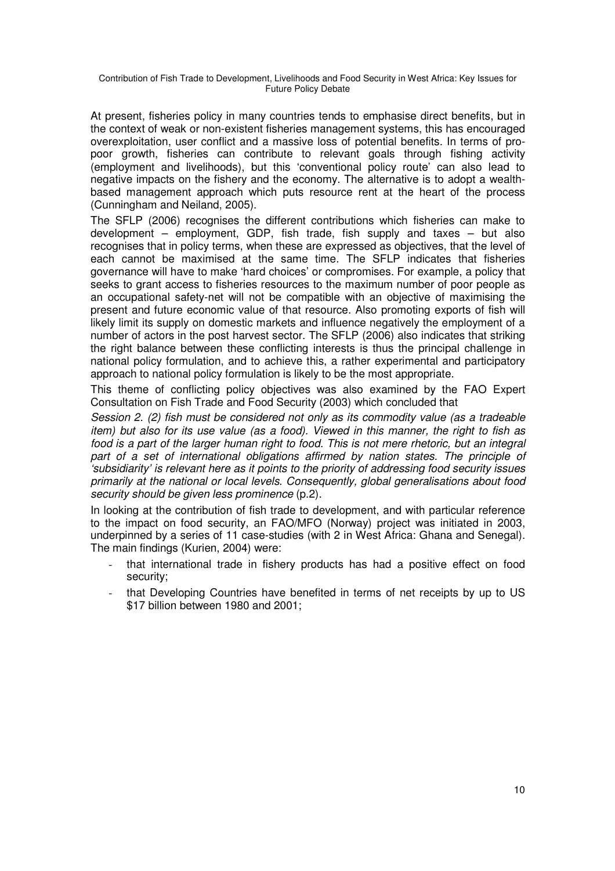At present, fisheries policy in many countries tends to emphasise direct benefits, but in the context of weak or non-existent fisheries management systems, this has encouraged overexploitation, user conflict and a massive loss of potential benefits. In terms of propoor growth, fisheries can contribute to relevant goals through fishing activity (employment and livelihoods), but this 'conventional policy route' can also lead to negative impacts on the fishery and the economy. The alternative is to adopt a wealthbased management approach which puts resource rent at the heart of the process (Cunningham and Neiland, 2005).

The SFLP (2006) recognises the different contributions which fisheries can make to development – employment, GDP, fish trade, fish supply and taxes – but also recognises that in policy terms, when these are expressed as objectives, that the level of each cannot be maximised at the same time. The SFLP indicates that fisheries governance will have to make 'hard choices' or compromises. For example, a policy that seeks to grant access to fisheries resources to the maximum number of poor people as an occupational safety-net will not be compatible with an objective of maximising the present and future economic value of that resource. Also promoting exports of fish will likely limit its supply on domestic markets and influence negatively the employment of a number of actors in the post harvest sector. The SFLP (2006) also indicates that striking the right balance between these conflicting interests is thus the principal challenge in national policy formulation, and to achieve this, a rather experimental and participatory approach to national policy formulation is likely to be the most appropriate.

This theme of conflicting policy objectives was also examined by the FAO Expert Consultation on Fish Trade and Food Security (2003) which concluded that

Session 2. (2) fish must be considered not only as its commodity value (as a tradeable item) but also for its use value (as a food). Viewed in this manner, the right to fish as food is a part of the larger human right to food. This is not mere rhetoric, but an integral part of a set of international obligations affirmed by nation states. The principle of 'subsidiarity' is relevant here as it points to the priority of addressing food security issues primarily at the national or local levels. Consequently, global generalisations about food security should be given less prominence (p.2).

In looking at the contribution of fish trade to development, and with particular reference to the impact on food security, an FAO/MFO (Norway) project was initiated in 2003, underpinned by a series of 11 case-studies (with 2 in West Africa: Ghana and Senegal). The main findings (Kurien, 2004) were:

- that international trade in fishery products has had a positive effect on food security;
- that Developing Countries have benefited in terms of net receipts by up to US \$17 billion between 1980 and 2001;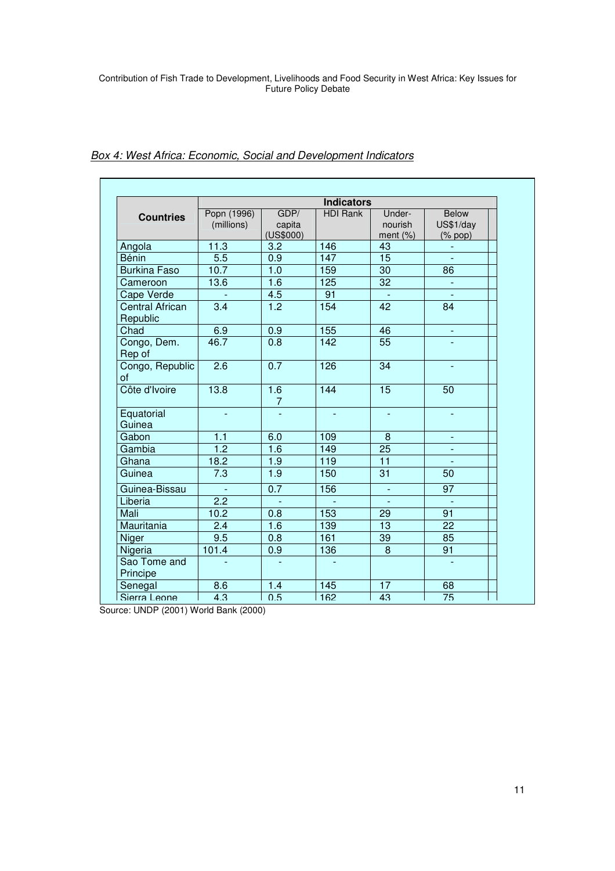|                             | <b>Indicators</b> |                       |                 |                  |                               |
|-----------------------------|-------------------|-----------------------|-----------------|------------------|-------------------------------|
|                             | Popn (1996)       | GDP/                  | <b>HDI Rank</b> | Under-           | Below                         |
| <b>Countries</b>            | (millions)        | capita                |                 | nourish          | US\$1/day                     |
|                             |                   | (US\$000)             |                 | ment $(\%)$      | $(% \mathcal{L}_{0})$ (% pop) |
| Angola                      | 11.3              | 3.2                   | 146             | 43               |                               |
| <b>Bénin</b>                | 5.5               | 0.9                   | 147             | 15               | $\sim$                        |
| <b>Burkina Faso</b>         | 10.7              | 1.0                   | 159             | $\overline{30}$  | $\overline{86}$               |
| Cameroon                    | 13.6              | 1.6                   | 125             | $\overline{32}$  |                               |
| Cape Verde                  |                   | 4.5                   | 91              |                  | $\mathbb{Z}$                  |
| Central African<br>Republic | 3.4               | 1.2                   | 154             | 42               | 84                            |
| Chad                        | 6.9               | 0.9                   | 155             | 46               | $\blacksquare$                |
| Congo, Dem.<br>Rep of       | 46.7              | 0.8                   | 142             | 55               |                               |
| Congo, Republic<br>of       | $\overline{2.6}$  | 0.7                   | 126             | $\overline{34}$  | $\blacksquare$                |
| Côte d'Ivoire               | 13.8              | 1.6<br>$\overline{7}$ | 144             | 15               | 50                            |
| Equatorial<br>Guinea        |                   |                       |                 |                  |                               |
| Gabon                       | 1.1               | 6.0                   | 109             | $\boldsymbol{8}$ |                               |
| Gambia                      | $\overline{1.2}$  | 1.6                   | 149             | $\overline{25}$  |                               |
| Ghana                       | 18.2              | 1.9                   | 119             | $\overline{11}$  |                               |
| Guinea                      | 7.3               | 1.9                   | 150             | 31               | 50                            |
| Guinea-Bissau               | $\blacksquare$    | 0.7                   | 156             | $\blacksquare$   | 97                            |
| Liberia                     | 2.2               | $\Box$                |                 | $\blacksquare$   | $\Box$                        |
| Mali                        | 10.2              | 0.8                   | 153             | 29               | 91                            |
| Mauritania                  | 2.4               | 1.6                   | 139             | 13               | 22                            |
| Niger                       | 9.5               | 0.8                   | 161             | 39               | 85                            |
| Nigeria                     | 101.4             | 0.9                   | 136             | 8                | 91                            |
| Sao Tome and<br>Principe    |                   | $\omega$              |                 |                  |                               |
| Senegal                     | 8.6               | 1.4                   | 145             | 17               | 68                            |
| Sierra Leone                | 4.3               | 0.5                   | <b>162</b>      | 43               | 75                            |

# **Box 4: West Africa: Economic, Social and Development Indicators**

Source: UNDP (2001) World Bank (2000)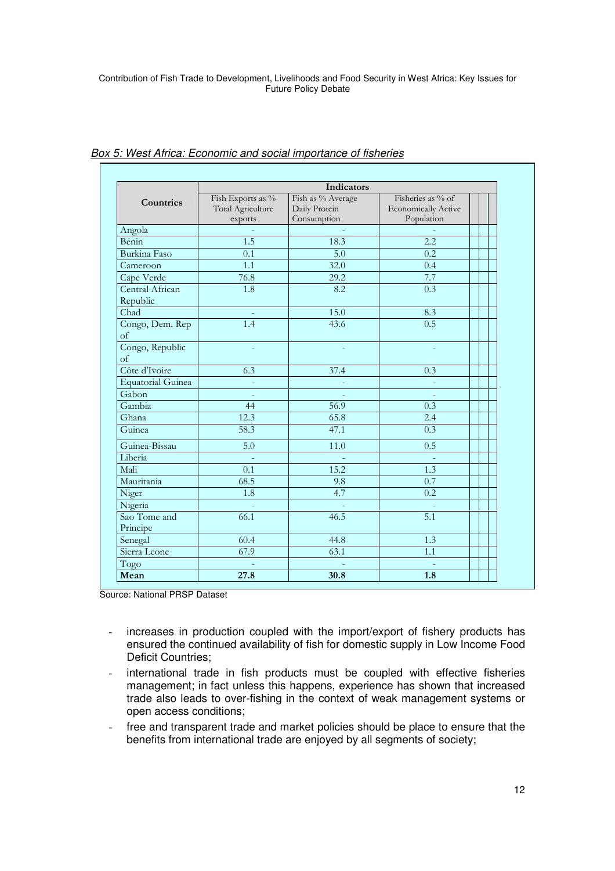|                             | Indicators                                        |                                                   |                                                               |  |  |  |
|-----------------------------|---------------------------------------------------|---------------------------------------------------|---------------------------------------------------------------|--|--|--|
| Countries                   | Fish Exports as %<br>Total Agriculture<br>exports | Fish as % Average<br>Daily Protein<br>Consumption | Fisheries as % of<br><b>Economically Active</b><br>Population |  |  |  |
| Angola                      |                                                   |                                                   |                                                               |  |  |  |
| Bénin                       | 1.5                                               | 18.3                                              | 2.2                                                           |  |  |  |
| Burkina Faso                | 0.1                                               | 5.0                                               | 0.2                                                           |  |  |  |
| Cameroon                    | 1.1                                               | 32.0                                              | 0.4                                                           |  |  |  |
| Cape Verde                  | 76.8                                              | 29.2                                              | 7.7                                                           |  |  |  |
| Central African<br>Republic | 1.8                                               | 8.2                                               | 0.3                                                           |  |  |  |
| Chad                        | ÷                                                 | 15.0                                              | 8.3                                                           |  |  |  |
| Congo, Dem. Rep<br>of       | 1.4                                               | 43.6                                              | 0.5                                                           |  |  |  |
| Congo, Republic<br>of       |                                                   |                                                   |                                                               |  |  |  |
| Côte d'Ivoire               | 6.3                                               | 37.4                                              | 0.3                                                           |  |  |  |
| <b>Equatorial Guinea</b>    |                                                   |                                                   |                                                               |  |  |  |
| Gabon                       | $\overline{\phantom{a}}$                          |                                                   | $\overline{\phantom{a}}$                                      |  |  |  |
| Gambia                      | 44                                                | 56.9                                              | 0.3                                                           |  |  |  |
| Ghana                       | 12.3                                              | 65.8                                              | 2.4                                                           |  |  |  |
| Guinea                      | 58.3                                              | 47.1                                              | 0.3                                                           |  |  |  |
| Guinea-Bissau               | $\overline{5.0}$                                  | 11.0                                              | 0.5                                                           |  |  |  |
| Liberia                     |                                                   |                                                   |                                                               |  |  |  |
| Mali                        | 0.1                                               | 15.2                                              | 1.3                                                           |  |  |  |
| Mauritania                  | 68.5                                              | 9.8                                               | 0.7                                                           |  |  |  |
| Niger                       | 1.8                                               | 4.7                                               | $\overline{0.2}$                                              |  |  |  |
| Nigeria                     |                                                   |                                                   | $\sim$                                                        |  |  |  |
| Sao Tome and<br>Principe    | 66.1                                              | 46.5                                              | 5.1                                                           |  |  |  |
| Senegal                     | 60.4                                              | 44.8                                              | 1.3                                                           |  |  |  |
| Sierra Leone                | 67.9                                              | 63.1                                              | 1.1                                                           |  |  |  |
| Togo                        |                                                   |                                                   |                                                               |  |  |  |
| Mean                        | 27.8                                              | 30.8                                              | $\overline{1.8}$                                              |  |  |  |

## Box 5: West Africa: Economic and social importance of fisheries

Source: National PRSP Dataset

- increases in production coupled with the import/export of fishery products has ensured the continued availability of fish for domestic supply in Low Income Food Deficit Countries;
- international trade in fish products must be coupled with effective fisheries management; in fact unless this happens, experience has shown that increased trade also leads to over-fishing in the context of weak management systems or open access conditions;
- free and transparent trade and market policies should be place to ensure that the benefits from international trade are enjoyed by all segments of society;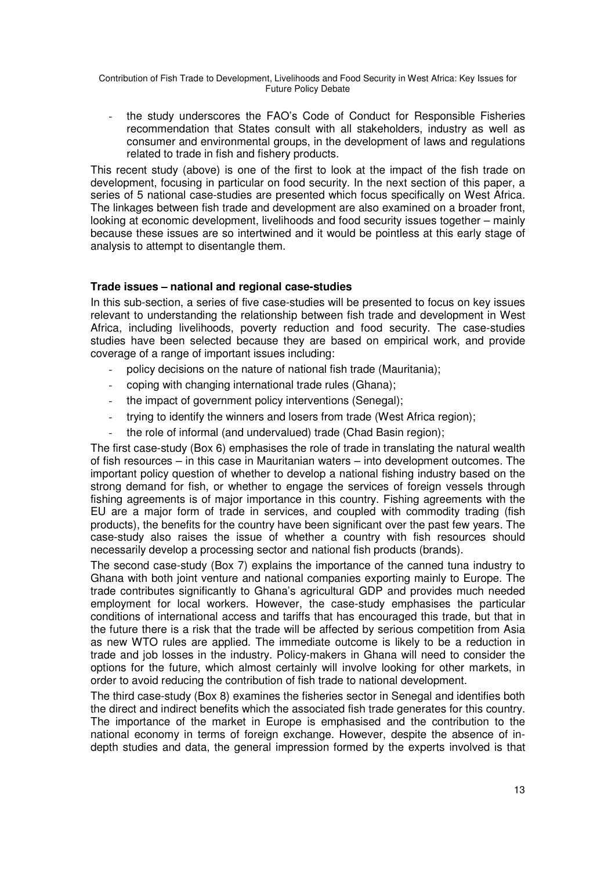- the study underscores the FAO's Code of Conduct for Responsible Fisheries recommendation that States consult with all stakeholders, industry as well as consumer and environmental groups, in the development of laws and regulations related to trade in fish and fishery products.

This recent study (above) is one of the first to look at the impact of the fish trade on development, focusing in particular on food security. In the next section of this paper, a series of 5 national case-studies are presented which focus specifically on West Africa. The linkages between fish trade and development are also examined on a broader front, looking at economic development, livelihoods and food security issues together – mainly because these issues are so intertwined and it would be pointless at this early stage of analysis to attempt to disentangle them.

### **Trade issues – national and regional case-studies**

In this sub-section, a series of five case-studies will be presented to focus on key issues relevant to understanding the relationship between fish trade and development in West Africa, including livelihoods, poverty reduction and food security. The case-studies studies have been selected because they are based on empirical work, and provide coverage of a range of important issues including:

- policy decisions on the nature of national fish trade (Mauritania);
- coping with changing international trade rules (Ghana);
- the impact of government policy interventions (Senegal);
- trying to identify the winners and losers from trade (West Africa region);
- the role of informal (and undervalued) trade (Chad Basin region);

The first case-study (Box 6) emphasises the role of trade in translating the natural wealth of fish resources – in this case in Mauritanian waters – into development outcomes. The important policy question of whether to develop a national fishing industry based on the strong demand for fish, or whether to engage the services of foreign vessels through fishing agreements is of major importance in this country. Fishing agreements with the EU are a major form of trade in services, and coupled with commodity trading (fish products), the benefits for the country have been significant over the past few years. The case-study also raises the issue of whether a country with fish resources should necessarily develop a processing sector and national fish products (brands).

The second case-study (Box 7) explains the importance of the canned tuna industry to Ghana with both joint venture and national companies exporting mainly to Europe. The trade contributes significantly to Ghana's agricultural GDP and provides much needed employment for local workers. However, the case-study emphasises the particular conditions of international access and tariffs that has encouraged this trade, but that in the future there is a risk that the trade will be affected by serious competition from Asia as new WTO rules are applied. The immediate outcome is likely to be a reduction in trade and job losses in the industry. Policy-makers in Ghana will need to consider the options for the future, which almost certainly will involve looking for other markets, in order to avoid reducing the contribution of fish trade to national development.

The third case-study (Box 8) examines the fisheries sector in Senegal and identifies both the direct and indirect benefits which the associated fish trade generates for this country. The importance of the market in Europe is emphasised and the contribution to the national economy in terms of foreign exchange. However, despite the absence of indepth studies and data, the general impression formed by the experts involved is that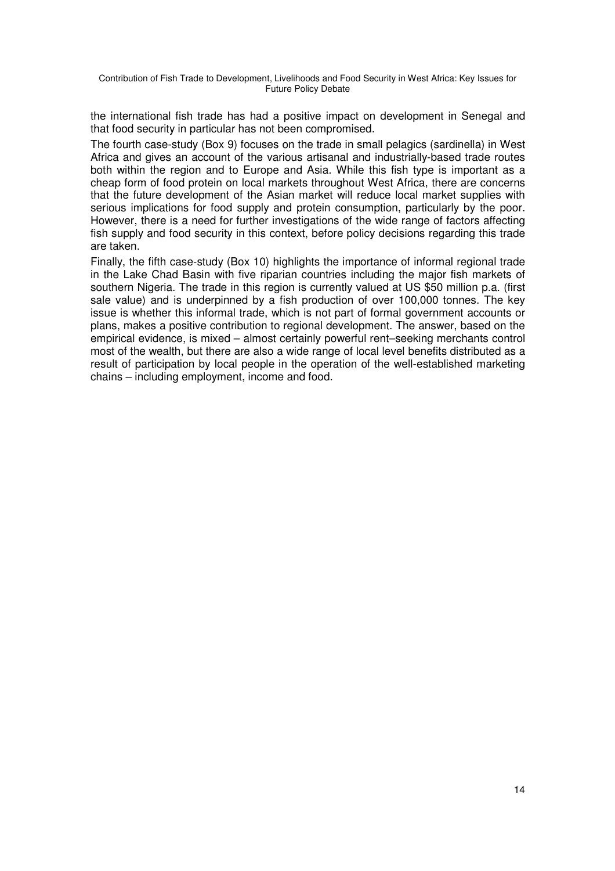the international fish trade has had a positive impact on development in Senegal and that food security in particular has not been compromised.

The fourth case-study (Box 9) focuses on the trade in small pelagics (sardinella) in West Africa and gives an account of the various artisanal and industrially-based trade routes both within the region and to Europe and Asia. While this fish type is important as a cheap form of food protein on local markets throughout West Africa, there are concerns that the future development of the Asian market will reduce local market supplies with serious implications for food supply and protein consumption, particularly by the poor. However, there is a need for further investigations of the wide range of factors affecting fish supply and food security in this context, before policy decisions regarding this trade are taken.

Finally, the fifth case-study (Box 10) highlights the importance of informal regional trade in the Lake Chad Basin with five riparian countries including the major fish markets of southern Nigeria. The trade in this region is currently valued at US \$50 million p.a. (first sale value) and is underpinned by a fish production of over 100,000 tonnes. The key issue is whether this informal trade, which is not part of formal government accounts or plans, makes a positive contribution to regional development. The answer, based on the empirical evidence, is mixed – almost certainly powerful rent–seeking merchants control most of the wealth, but there are also a wide range of local level benefits distributed as a result of participation by local people in the operation of the well-established marketing chains – including employment, income and food.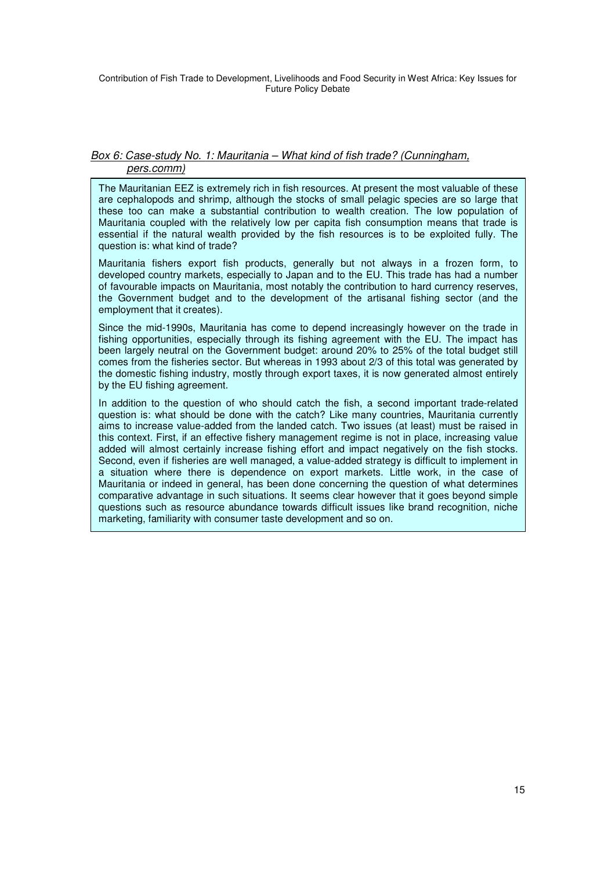### Box 6: Case-study No. 1: Mauritania – What kind of fish trade? (Cunningham, pers.comm)

The Mauritanian EEZ is extremely rich in fish resources. At present the most valuable of these are cephalopods and shrimp, although the stocks of small pelagic species are so large that these too can make a substantial contribution to wealth creation. The low population of Mauritania coupled with the relatively low per capita fish consumption means that trade is essential if the natural wealth provided by the fish resources is to be exploited fully. The question is: what kind of trade?

Mauritania fishers export fish products, generally but not always in a frozen form, to developed country markets, especially to Japan and to the EU. This trade has had a number of favourable impacts on Mauritania, most notably the contribution to hard currency reserves, the Government budget and to the development of the artisanal fishing sector (and the employment that it creates).

Since the mid-1990s, Mauritania has come to depend increasingly however on the trade in fishing opportunities, especially through its fishing agreement with the EU. The impact has been largely neutral on the Government budget: around 20% to 25% of the total budget still comes from the fisheries sector. But whereas in 1993 about 2/3 of this total was generated by the domestic fishing industry, mostly through export taxes, it is now generated almost entirely by the EU fishing agreement.

In addition to the question of who should catch the fish, a second important trade-related question is: what should be done with the catch? Like many countries, Mauritania currently aims to increase value-added from the landed catch. Two issues (at least) must be raised in this context. First, if an effective fishery management regime is not in place, increasing value added will almost certainly increase fishing effort and impact negatively on the fish stocks. Second, even if fisheries are well managed, a value-added strategy is difficult to implement in a situation where there is dependence on export markets. Little work, in the case of Mauritania or indeed in general, has been done concerning the question of what determines comparative advantage in such situations. It seems clear however that it goes beyond simple questions such as resource abundance towards difficult issues like brand recognition, niche marketing, familiarity with consumer taste development and so on.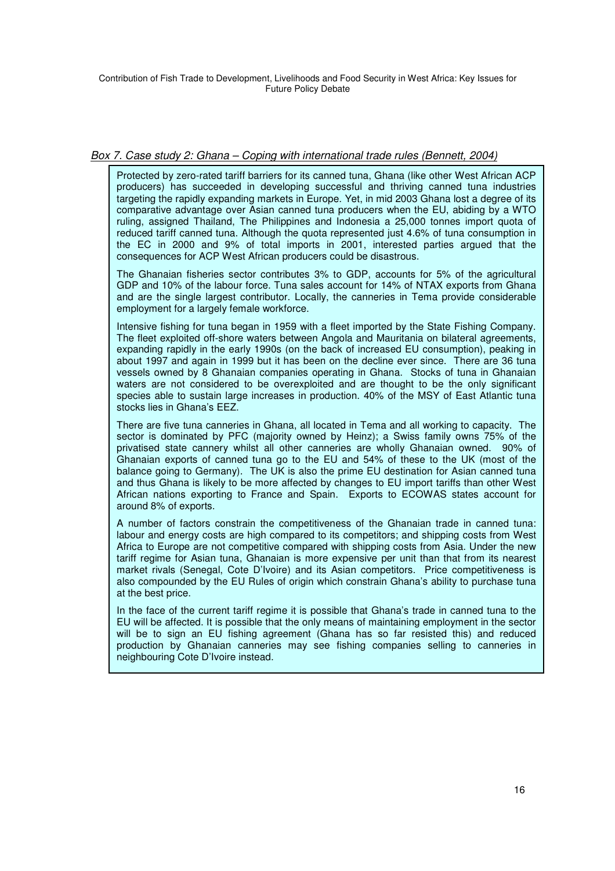### Box 7. Case study 2: Ghana – Coping with international trade rules (Bennett, 2004)

Protected by zero-rated tariff barriers for its canned tuna, Ghana (like other West African ACP producers) has succeeded in developing successful and thriving canned tuna industries targeting the rapidly expanding markets in Europe. Yet, in mid 2003 Ghana lost a degree of its comparative advantage over Asian canned tuna producers when the EU, abiding by a WTO ruling, assigned Thailand, The Philippines and Indonesia a 25,000 tonnes import quota of reduced tariff canned tuna. Although the quota represented just 4.6% of tuna consumption in the EC in 2000 and 9% of total imports in 2001, interested parties argued that the consequences for ACP West African producers could be disastrous.

The Ghanaian fisheries sector contributes 3% to GDP, accounts for 5% of the agricultural GDP and 10% of the labour force. Tuna sales account for 14% of NTAX exports from Ghana and are the single largest contributor. Locally, the canneries in Tema provide considerable employment for a largely female workforce.

Intensive fishing for tuna began in 1959 with a fleet imported by the State Fishing Company. The fleet exploited off-shore waters between Angola and Mauritania on bilateral agreements, expanding rapidly in the early 1990s (on the back of increased EU consumption), peaking in about 1997 and again in 1999 but it has been on the decline ever since. There are 36 tuna vessels owned by 8 Ghanaian companies operating in Ghana. Stocks of tuna in Ghanaian waters are not considered to be overexploited and are thought to be the only significant species able to sustain large increases in production. 40% of the MSY of East Atlantic tuna stocks lies in Ghana's EEZ.

There are five tuna canneries in Ghana, all located in Tema and all working to capacity. The sector is dominated by PFC (majority owned by Heinz); a Swiss family owns 75% of the privatised state cannery whilst all other canneries are wholly Ghanaian owned. 90% of Ghanaian exports of canned tuna go to the EU and 54% of these to the UK (most of the balance going to Germany). The UK is also the prime EU destination for Asian canned tuna and thus Ghana is likely to be more affected by changes to EU import tariffs than other West African nations exporting to France and Spain. Exports to ECOWAS states account for around 8% of exports.

A number of factors constrain the competitiveness of the Ghanaian trade in canned tuna: labour and energy costs are high compared to its competitors; and shipping costs from West Africa to Europe are not competitive compared with shipping costs from Asia. Under the new tariff regime for Asian tuna, Ghanaian is more expensive per unit than that from its nearest market rivals (Senegal, Cote D'Ivoire) and its Asian competitors. Price competitiveness is also compounded by the EU Rules of origin which constrain Ghana's ability to purchase tuna at the best price.

In the face of the current tariff regime it is possible that Ghana's trade in canned tuna to the EU will be affected. It is possible that the only means of maintaining employment in the sector will be to sign an EU fishing agreement (Ghana has so far resisted this) and reduced production by Ghanaian canneries may see fishing companies selling to canneries in neighbouring Cote D'Ivoire instead.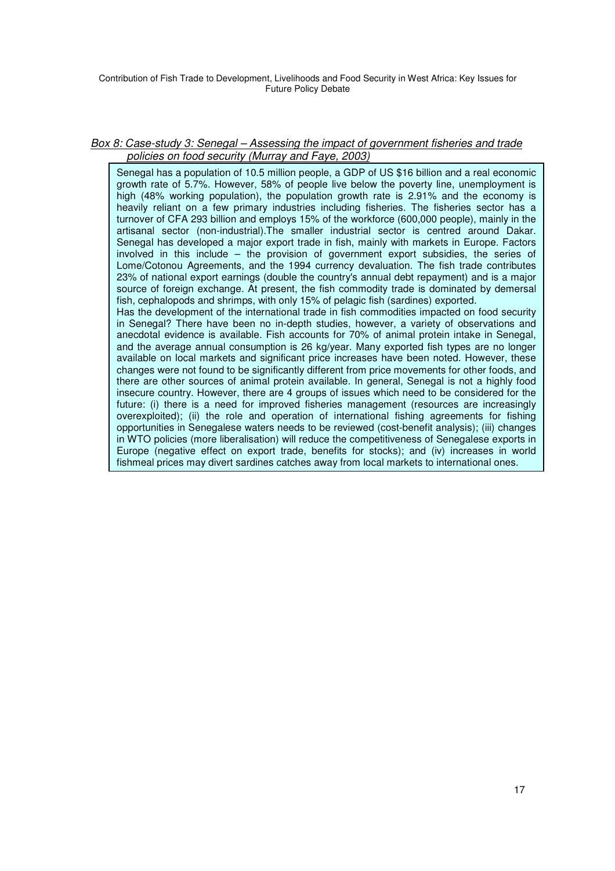### Box 8: Case-study 3: Senegal – Assessing the impact of government fisheries and trade policies on food security (Murray and Faye, 2003)

Senegal has a population of 10.5 million people, a GDP of US \$16 billion and a real economic growth rate of 5.7%. However, 58% of people live below the poverty line, unemployment is high (48% working population), the population growth rate is 2.91% and the economy is heavily reliant on a few primary industries including fisheries. The fisheries sector has a turnover of CFA 293 billion and employs 15% of the workforce (600,000 people), mainly in the artisanal sector (non-industrial).The smaller industrial sector is centred around Dakar. Senegal has developed a major export trade in fish, mainly with markets in Europe. Factors involved in this include – the provision of government export subsidies, the series of Lome/Cotonou Agreements, and the 1994 currency devaluation. The fish trade contributes 23% of national export earnings (double the country's annual debt repayment) and is a major source of foreign exchange. At present, the fish commodity trade is dominated by demersal fish, cephalopods and shrimps, with only 15% of pelagic fish (sardines) exported.

Has the development of the international trade in fish commodities impacted on food security in Senegal? There have been no in-depth studies, however, a variety of observations and anecdotal evidence is available. Fish accounts for 70% of animal protein intake in Senegal, and the average annual consumption is 26 kg/year. Many exported fish types are no longer available on local markets and significant price increases have been noted. However, these changes were not found to be significantly different from price movements for other foods, and there are other sources of animal protein available. In general, Senegal is not a highly food insecure country. However, there are 4 groups of issues which need to be considered for the future: (i) there is a need for improved fisheries management (resources are increasingly overexploited); (ii) the role and operation of international fishing agreements for fishing opportunities in Senegalese waters needs to be reviewed (cost-benefit analysis); (iii) changes in WTO policies (more liberalisation) will reduce the competitiveness of Senegalese exports in Europe (negative effect on export trade, benefits for stocks); and (iv) increases in world fishmeal prices may divert sardines catches away from local markets to international ones.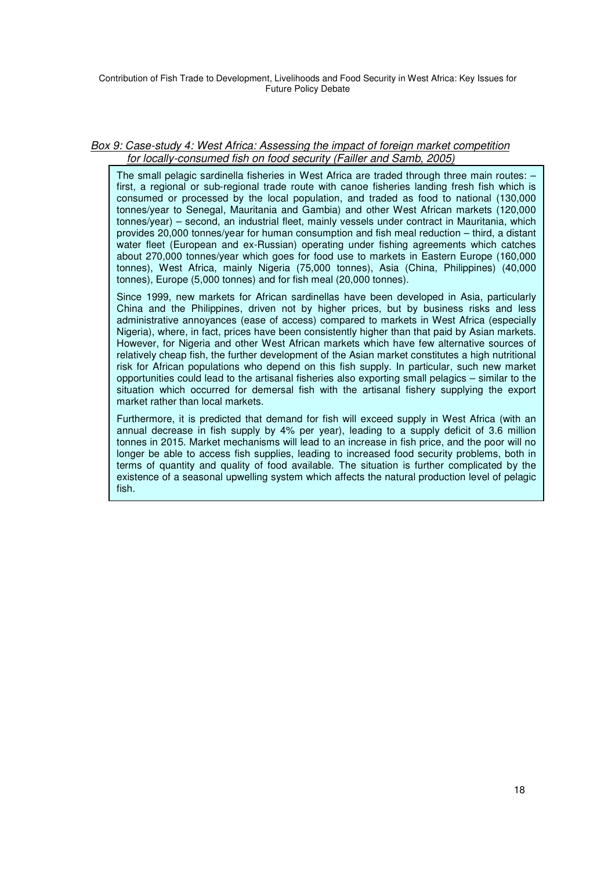### Box 9: Case-study 4: West Africa: Assessing the impact of foreign market competition for locally-consumed fish on food security (Failler and Samb, 2005)

The small pelagic sardinella fisheries in West Africa are traded through three main routes: first, a regional or sub-regional trade route with canoe fisheries landing fresh fish which is consumed or processed by the local population, and traded as food to national (130,000 tonnes/year to Senegal, Mauritania and Gambia) and other West African markets (120,000 tonnes/year) – second, an industrial fleet, mainly vessels under contract in Mauritania, which provides 20,000 tonnes/year for human consumption and fish meal reduction – third, a distant water fleet (European and ex-Russian) operating under fishing agreements which catches about 270,000 tonnes/year which goes for food use to markets in Eastern Europe (160,000 tonnes), West Africa, mainly Nigeria (75,000 tonnes), Asia (China, Philippines) (40,000 tonnes), Europe (5,000 tonnes) and for fish meal (20,000 tonnes).

Since 1999, new markets for African sardinellas have been developed in Asia, particularly China and the Philippines, driven not by higher prices, but by business risks and less administrative annoyances (ease of access) compared to markets in West Africa (especially Nigeria), where, in fact, prices have been consistently higher than that paid by Asian markets. However, for Nigeria and other West African markets which have few alternative sources of relatively cheap fish, the further development of the Asian market constitutes a high nutritional risk for African populations who depend on this fish supply. In particular, such new market opportunities could lead to the artisanal fisheries also exporting small pelagics – similar to the situation which occurred for demersal fish with the artisanal fishery supplying the export market rather than local markets.

Furthermore, it is predicted that demand for fish will exceed supply in West Africa (with an annual decrease in fish supply by 4% per year), leading to a supply deficit of 3.6 million tonnes in 2015. Market mechanisms will lead to an increase in fish price, and the poor will no longer be able to access fish supplies, leading to increased food security problems, both in terms of quantity and quality of food available. The situation is further complicated by the existence of a seasonal upwelling system which affects the natural production level of pelagic fish.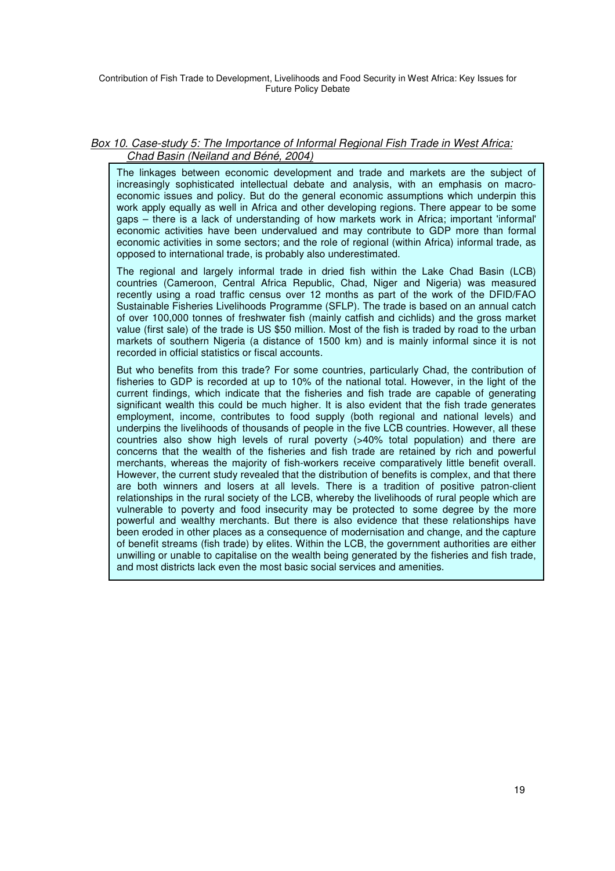### Box 10. Case-study 5: The Importance of Informal Regional Fish Trade in West Africa: Chad Basin (Neiland and Béné, 2004)

The linkages between economic development and trade and markets are the subject of increasingly sophisticated intellectual debate and analysis, with an emphasis on macroeconomic issues and policy. But do the general economic assumptions which underpin this work apply equally as well in Africa and other developing regions. There appear to be some gaps – there is a lack of understanding of how markets work in Africa; important 'informal' economic activities have been undervalued and may contribute to GDP more than formal economic activities in some sectors; and the role of regional (within Africa) informal trade, as opposed to international trade, is probably also underestimated.

The regional and largely informal trade in dried fish within the Lake Chad Basin (LCB) countries (Cameroon, Central Africa Republic, Chad, Niger and Nigeria) was measured recently using a road traffic census over 12 months as part of the work of the DFID/FAO Sustainable Fisheries Livelihoods Programme (SFLP). The trade is based on an annual catch of over 100,000 tonnes of freshwater fish (mainly catfish and cichlids) and the gross market value (first sale) of the trade is US \$50 million. Most of the fish is traded by road to the urban markets of southern Nigeria (a distance of 1500 km) and is mainly informal since it is not recorded in official statistics or fiscal accounts.

But who benefits from this trade? For some countries, particularly Chad, the contribution of fisheries to GDP is recorded at up to 10% of the national total. However, in the light of the current findings, which indicate that the fisheries and fish trade are capable of generating significant wealth this could be much higher. It is also evident that the fish trade generates employment, income, contributes to food supply (both regional and national levels) and underpins the livelihoods of thousands of people in the five LCB countries. However, all these countries also show high levels of rural poverty (>40% total population) and there are concerns that the wealth of the fisheries and fish trade are retained by rich and powerful merchants, whereas the majority of fish-workers receive comparatively little benefit overall. However, the current study revealed that the distribution of benefits is complex, and that there are both winners and losers at all levels. There is a tradition of positive patron-client relationships in the rural society of the LCB, whereby the livelihoods of rural people which are vulnerable to poverty and food insecurity may be protected to some degree by the more powerful and wealthy merchants. But there is also evidence that these relationships have been eroded in other places as a consequence of modernisation and change, and the capture of benefit streams (fish trade) by elites. Within the LCB, the government authorities are either unwilling or unable to capitalise on the wealth being generated by the fisheries and fish trade, and most districts lack even the most basic social services and amenities.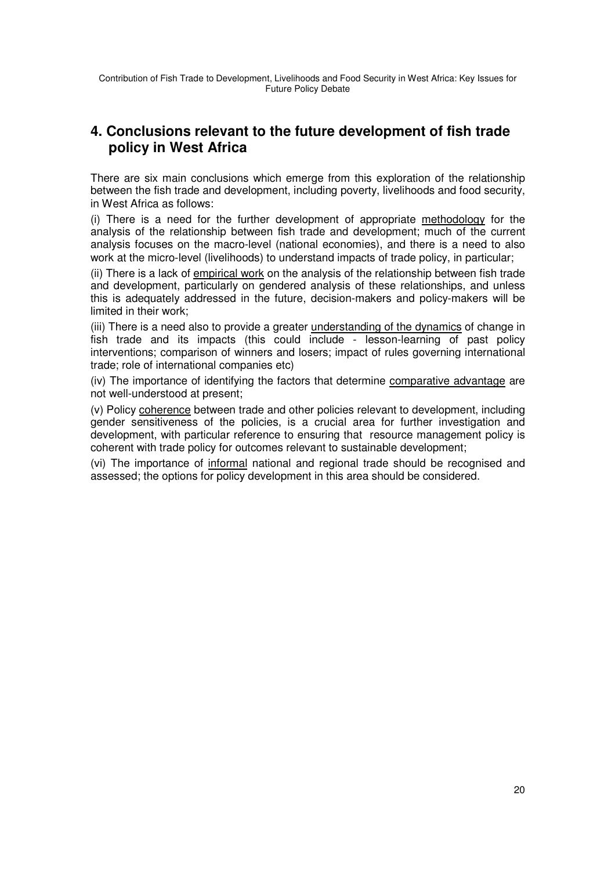# **4. Conclusions relevant to the future development of fish trade policy in West Africa**

There are six main conclusions which emerge from this exploration of the relationship between the fish trade and development, including poverty, livelihoods and food security, in West Africa as follows:

(i) There is a need for the further development of appropriate methodology for the analysis of the relationship between fish trade and development; much of the current analysis focuses on the macro-level (national economies), and there is a need to also work at the micro-level (livelihoods) to understand impacts of trade policy, in particular;

(ii) There is a lack of empirical work on the analysis of the relationship between fish trade and development, particularly on gendered analysis of these relationships, and unless this is adequately addressed in the future, decision-makers and policy-makers will be limited in their work;

(iii) There is a need also to provide a greater understanding of the dynamics of change in fish trade and its impacts (this could include - lesson-learning of past policy interventions; comparison of winners and losers; impact of rules governing international trade; role of international companies etc)

(iv) The importance of identifying the factors that determine comparative advantage are not well-understood at present;

(v) Policy coherence between trade and other policies relevant to development, including gender sensitiveness of the policies, is a crucial area for further investigation and development, with particular reference to ensuring that resource management policy is coherent with trade policy for outcomes relevant to sustainable development;

(vi) The importance of informal national and regional trade should be recognised and assessed; the options for policy development in this area should be considered.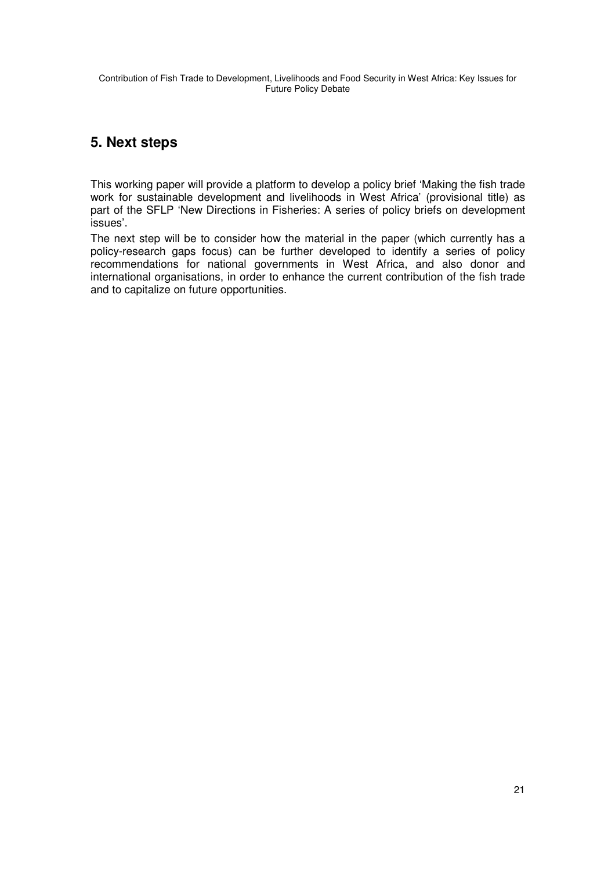# **5. Next steps**

This working paper will provide a platform to develop a policy brief 'Making the fish trade work for sustainable development and livelihoods in West Africa' (provisional title) as part of the SFLP 'New Directions in Fisheries: A series of policy briefs on development issues'.

The next step will be to consider how the material in the paper (which currently has a policy-research gaps focus) can be further developed to identify a series of policy recommendations for national governments in West Africa, and also donor and international organisations, in order to enhance the current contribution of the fish trade and to capitalize on future opportunities.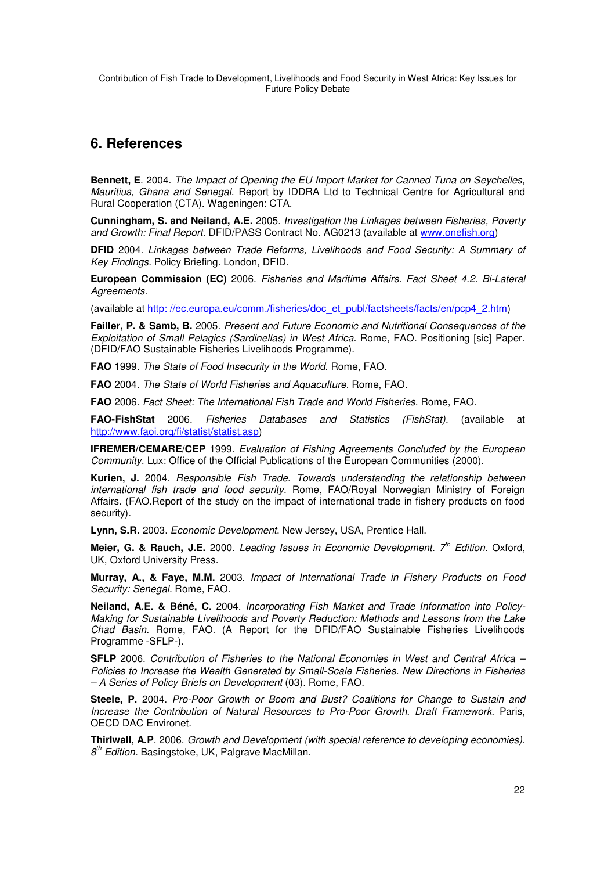# **6. References**

**Bennett, E**. 2004. The Impact of Opening the EU Import Market for Canned Tuna on Seychelles, Mauritius, Ghana and Senegal. Report by IDDRA Ltd to Technical Centre for Agricultural and Rural Cooperation (CTA). Wageningen: CTA.

**Cunningham, S. and Neiland, A.E.** 2005. Investigation the Linkages between Fisheries, Poverty and Growth: Final Report. DFID/PASS Contract No. AG0213 (available at www.onefish.org)

**DFID** 2004. Linkages between Trade Reforms, Livelihoods and Food Security: A Summary of Key Findings. Policy Briefing. London, DFID.

**European Commission (EC)** 2006. Fisheries and Maritime Affairs. Fact Sheet 4.2. Bi-Lateral Agreements.

(available at http: //ec.europa.eu/comm./fisheries/doc\_et\_publ/factsheets/facts/en/pcp4\_2.htm)

**Failler, P. & Samb, B.** 2005. Present and Future Economic and Nutritional Consequences of the Exploitation of Small Pelagics (Sardinellas) in West Africa. Rome, FAO. Positioning [sic] Paper. (DFID/FAO Sustainable Fisheries Livelihoods Programme).

**FAO** 1999. The State of Food Insecurity in the World. Rome, FAO.

**FAO** 2004. The State of World Fisheries and Aquaculture. Rome, FAO.

**FAO** 2006. Fact Sheet: The International Fish Trade and World Fisheries. Rome, FAO.

**FAO-FishStat** 2006. Fisheries Databases and Statistics (FishStat). (available at http://www.faoi.org/fi/statist/statist.asp)

**IFREMER/CEMARE/CEP** 1999. Evaluation of Fishing Agreements Concluded by the European Community. Lux: Office of the Official Publications of the European Communities (2000).

**Kurien, J.** 2004. Responsible Fish Trade. Towards understanding the relationship between international fish trade and food security. Rome, FAO/Royal Norwegian Ministry of Foreign Affairs. (FAO.Report of the study on the impact of international trade in fishery products on food security).

**Lynn, S.R.** 2003. Economic Development. New Jersey, USA, Prentice Hall.

Meier, G. & Rauch, J.E. 2000. Leading Issues in Economic Development. 7<sup>th</sup> Edition. Oxford, UK, Oxford University Press.

**Murray, A., & Faye, M.M.** 2003. Impact of International Trade in Fishery Products on Food Security: Senegal. Rome, FAO.

**Neiland, A.E. & Béné, C.** 2004. Incorporating Fish Market and Trade Information into Policy-Making for Sustainable Livelihoods and Poverty Reduction: Methods and Lessons from the Lake Chad Basin. Rome, FAO. (A Report for the DFID/FAO Sustainable Fisheries Livelihoods Programme -SFLP-).

**SFLP** 2006. Contribution of Fisheries to the National Economies in West and Central Africa – Policies to Increase the Wealth Generated by Small-Scale Fisheries. New Directions in Fisheries – A Series of Policy Briefs on Development (03). Rome, FAO.

**Steele, P.** 2004. Pro-Poor Growth or Boom and Bust? Coalitions for Change to Sustain and Increase the Contribution of Natural Resources to Pro-Poor Growth. Draft Framework. Paris, OECD DAC Environet.

**Thirlwall, A.P**. 2006. Growth and Development (with special reference to developing economies).  $8<sup>th</sup>$  Edition. Basingstoke, UK, Palgrave MacMillan.